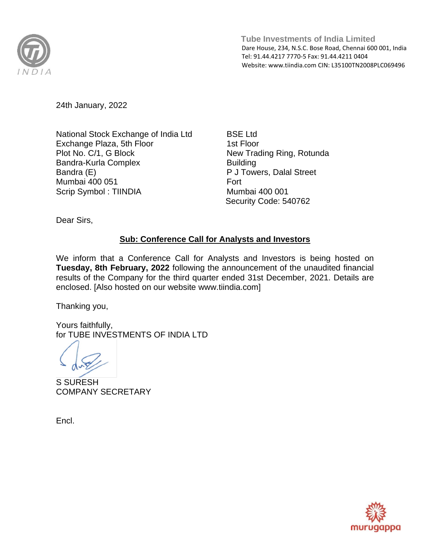

 **Tube Investments of India Limited** Dare House, 234, N.S.C. Bose Road, Chennai 600 001, India Tel: 91.44.4217 7770-5 Fax: 91.44.4211 0404 Website[: www.tiindia.com C](http://www.tiindia.com/)IN: L35100TN2008PLC069496

24th January, 2022

National Stock Exchange of India Ltd Exchange Plaza, 5th Floor Plot No. C/1, G Block Bandra-Kurla Complex Bandra (E) Mumbai 400 051 Scrip Symbol : TIINDIA

BSE Ltd 1st Floor New Trading Ring, Rotunda **Building** P J Towers, Dalal Street Fort Mumbai 400 001 Security Code: 540762

Dear Sirs,

## **Sub: Conference Call for Analysts and Investors**

We inform that a Conference Call for Analysts and Investors is being hosted on **Tuesday, 8th February, 2022** following the announcement of the unaudited financial results of the Company for the third quarter ended 31st December, 2021. Details are enclosed. [Also hosted on our website [www.tiindia.com\]](http://www.tiindia.com/)

Thanking you,

Yours faithfully, for TUBE INVESTMENTS OF INDIA LTD

S SURESH COMPANY SECRETARY

Encl.